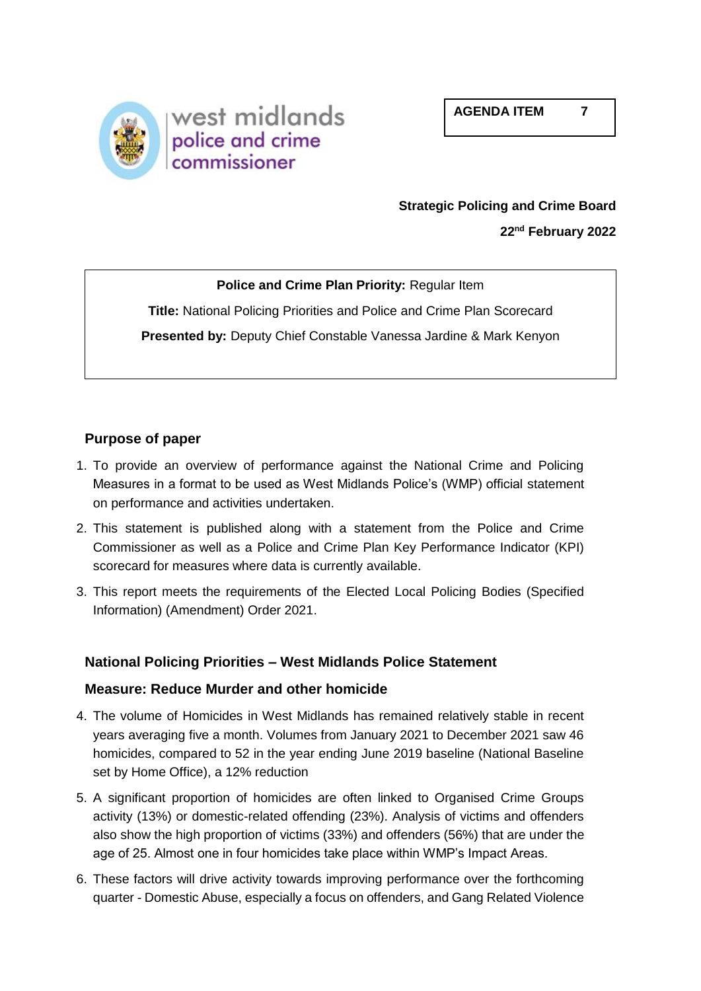**AGENDA ITEM 7**



## **Strategic Policing and Crime Board**

**22nd February 2022**

## **Police and Crime Plan Priority:** Regular Item

**Title:** National Policing Priorities and Police and Crime Plan Scorecard **Presented by:** Deputy Chief Constable Vanessa Jardine & Mark Kenyon

## **Purpose of paper**

- 1. To provide an overview of performance against the National Crime and Policing Measures in a format to be used as West Midlands Police's (WMP) official statement on performance and activities undertaken.
- 2. This statement is published along with a statement from the Police and Crime Commissioner as well as a Police and Crime Plan Key Performance Indicator (KPI) scorecard for measures where data is currently available.
- 3. This report meets the requirements of the Elected Local Policing Bodies (Specified Information) (Amendment) Order 2021.

## **National Policing Priorities – West Midlands Police Statement**

## **Measure: Reduce Murder and other homicide**

- 4. The volume of Homicides in West Midlands has remained relatively stable in recent years averaging five a month. Volumes from January 2021 to December 2021 saw 46 homicides, compared to 52 in the year ending June 2019 baseline (National Baseline set by Home Office), a 12% reduction
- 5. A significant proportion of homicides are often linked to Organised Crime Groups activity (13%) or domestic-related offending (23%). Analysis of victims and offenders also show the high proportion of victims (33%) and offenders (56%) that are under the age of 25. Almost one in four homicides take place within WMP's Impact Areas.
- 6. These factors will drive activity towards improving performance over the forthcoming quarter - Domestic Abuse, especially a focus on offenders, and Gang Related Violence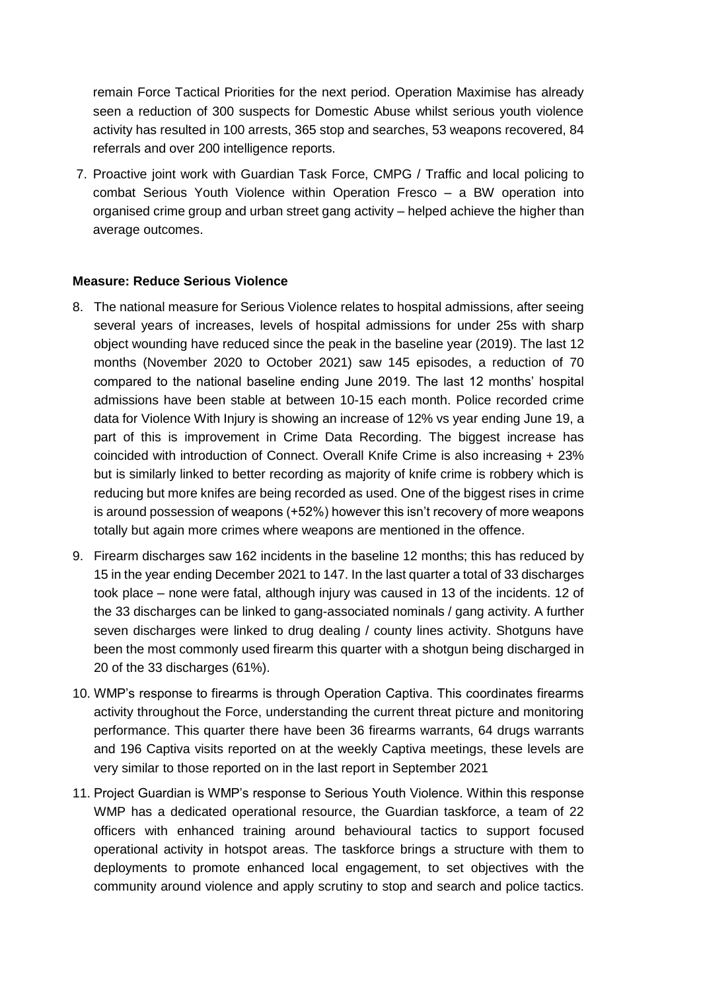remain Force Tactical Priorities for the next period. Operation Maximise has already seen a reduction of 300 suspects for Domestic Abuse whilst serious youth violence activity has resulted in 100 arrests, 365 stop and searches, 53 weapons recovered, 84 referrals and over 200 intelligence reports.

7. Proactive joint work with Guardian Task Force, CMPG / Traffic and local policing to combat Serious Youth Violence within Operation Fresco – a BW operation into organised crime group and urban street gang activity – helped achieve the higher than average outcomes.

#### **Measure: Reduce Serious Violence**

- 8. The national measure for Serious Violence relates to hospital admissions, after seeing several years of increases, levels of hospital admissions for under 25s with sharp object wounding have reduced since the peak in the baseline year (2019). The last 12 months (November 2020 to October 2021) saw 145 episodes, a reduction of 70 compared to the national baseline ending June 2019. The last 12 months' hospital admissions have been stable at between 10-15 each month. Police recorded crime data for Violence With Injury is showing an increase of 12% vs year ending June 19, a part of this is improvement in Crime Data Recording. The biggest increase has coincided with introduction of Connect. Overall Knife Crime is also increasing + 23% but is similarly linked to better recording as majority of knife crime is robbery which is reducing but more knifes are being recorded as used. One of the biggest rises in crime is around possession of weapons (+52%) however this isn't recovery of more weapons totally but again more crimes where weapons are mentioned in the offence.
- 9. Firearm discharges saw 162 incidents in the baseline 12 months; this has reduced by 15 in the year ending December 2021 to 147. In the last quarter a total of 33 discharges took place – none were fatal, although injury was caused in 13 of the incidents. 12 of the 33 discharges can be linked to gang-associated nominals / gang activity. A further seven discharges were linked to drug dealing / county lines activity. Shotguns have been the most commonly used firearm this quarter with a shotgun being discharged in 20 of the 33 discharges (61%).
- 10. WMP's response to firearms is through Operation Captiva. This coordinates firearms activity throughout the Force, understanding the current threat picture and monitoring performance. This quarter there have been 36 firearms warrants, 64 drugs warrants and 196 Captiva visits reported on at the weekly Captiva meetings, these levels are very similar to those reported on in the last report in September 2021
- 11. Project Guardian is WMP's response to Serious Youth Violence. Within this response WMP has a dedicated operational resource, the Guardian taskforce, a team of 22 officers with enhanced training around behavioural tactics to support focused operational activity in hotspot areas. The taskforce brings a structure with them to deployments to promote enhanced local engagement, to set objectives with the community around violence and apply scrutiny to stop and search and police tactics.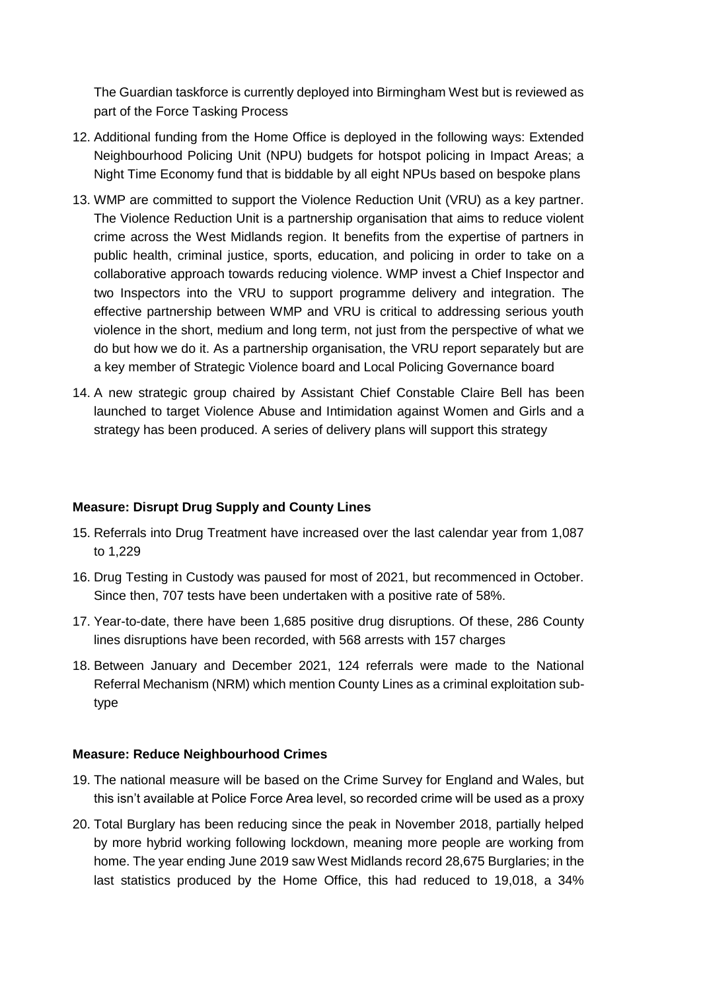The Guardian taskforce is currently deployed into Birmingham West but is reviewed as part of the Force Tasking Process

- 12. Additional funding from the Home Office is deployed in the following ways: Extended Neighbourhood Policing Unit (NPU) budgets for hotspot policing in Impact Areas; a Night Time Economy fund that is biddable by all eight NPUs based on bespoke plans
- 13. WMP are committed to support the Violence Reduction Unit (VRU) as a key partner. The Violence Reduction Unit is a partnership organisation that aims to reduce violent crime across the West Midlands region. It benefits from the expertise of partners in public health, criminal justice, sports, education, and policing in order to take on a collaborative approach towards reducing violence. WMP invest a Chief Inspector and two Inspectors into the VRU to support programme delivery and integration. The effective partnership between WMP and VRU is critical to addressing serious youth violence in the short, medium and long term, not just from the perspective of what we do but how we do it. As a partnership organisation, the VRU report separately but are a key member of Strategic Violence board and Local Policing Governance board
- 14. A new strategic group chaired by Assistant Chief Constable Claire Bell has been launched to target Violence Abuse and Intimidation against Women and Girls and a strategy has been produced. A series of delivery plans will support this strategy

## **Measure: Disrupt Drug Supply and County Lines**

- 15. Referrals into Drug Treatment have increased over the last calendar year from 1,087 to 1,229
- 16. Drug Testing in Custody was paused for most of 2021, but recommenced in October. Since then, 707 tests have been undertaken with a positive rate of 58%.
- 17. Year-to-date, there have been 1,685 positive drug disruptions. Of these, 286 County lines disruptions have been recorded, with 568 arrests with 157 charges
- 18. Between January and December 2021, 124 referrals were made to the National Referral Mechanism (NRM) which mention County Lines as a criminal exploitation subtype

#### **Measure: Reduce Neighbourhood Crimes**

- 19. The national measure will be based on the Crime Survey for England and Wales, but this isn't available at Police Force Area level, so recorded crime will be used as a proxy
- 20. Total Burglary has been reducing since the peak in November 2018, partially helped by more hybrid working following lockdown, meaning more people are working from home. The year ending June 2019 saw West Midlands record 28,675 Burglaries; in the last statistics produced by the Home Office, this had reduced to 19,018, a 34%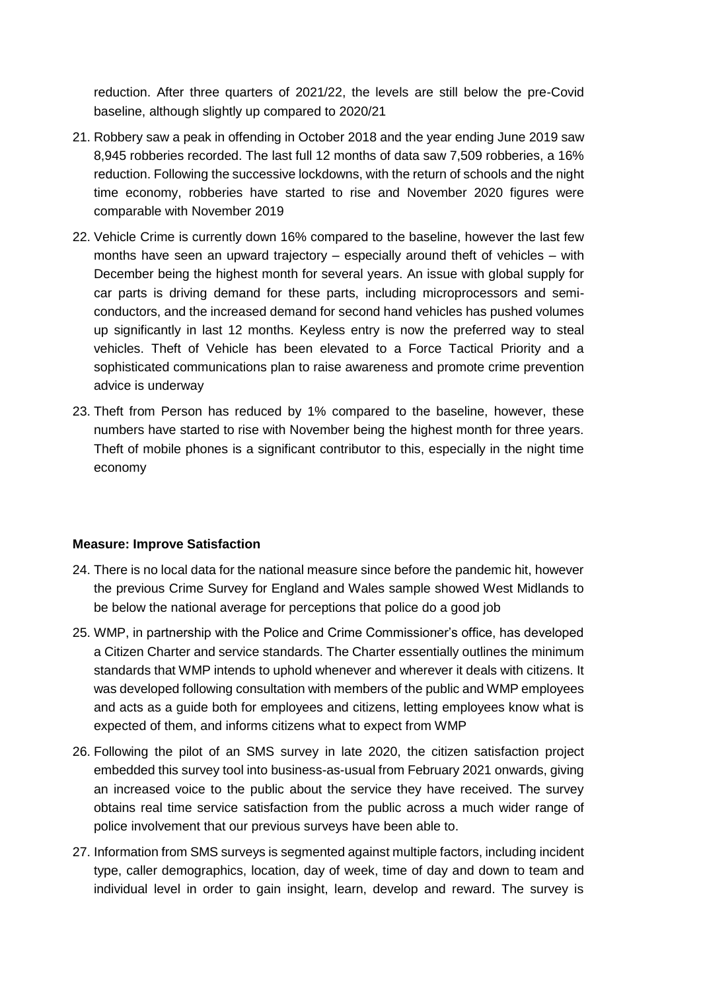reduction. After three quarters of 2021/22, the levels are still below the pre-Covid baseline, although slightly up compared to 2020/21

- 21. Robbery saw a peak in offending in October 2018 and the year ending June 2019 saw 8,945 robberies recorded. The last full 12 months of data saw 7,509 robberies, a 16% reduction. Following the successive lockdowns, with the return of schools and the night time economy, robberies have started to rise and November 2020 figures were comparable with November 2019
- 22. Vehicle Crime is currently down 16% compared to the baseline, however the last few months have seen an upward trajectory – especially around theft of vehicles – with December being the highest month for several years. An issue with global supply for car parts is driving demand for these parts, including microprocessors and semiconductors, and the increased demand for second hand vehicles has pushed volumes up significantly in last 12 months. Keyless entry is now the preferred way to steal vehicles. Theft of Vehicle has been elevated to a Force Tactical Priority and a sophisticated communications plan to raise awareness and promote crime prevention advice is underway
- 23. Theft from Person has reduced by 1% compared to the baseline, however, these numbers have started to rise with November being the highest month for three years. Theft of mobile phones is a significant contributor to this, especially in the night time economy

#### **Measure: Improve Satisfaction**

- 24. There is no local data for the national measure since before the pandemic hit, however the previous Crime Survey for England and Wales sample showed West Midlands to be below the national average for perceptions that police do a good job
- 25. WMP, in partnership with the Police and Crime Commissioner's office, has developed a Citizen Charter and service standards. The Charter essentially outlines the minimum standards that WMP intends to uphold whenever and wherever it deals with citizens. It was developed following consultation with members of the public and WMP employees and acts as a guide both for employees and citizens, letting employees know what is expected of them, and informs citizens what to expect from WMP
- 26. Following the pilot of an SMS survey in late 2020, the citizen satisfaction project embedded this survey tool into business-as-usual from February 2021 onwards, giving an increased voice to the public about the service they have received. The survey obtains real time service satisfaction from the public across a much wider range of police involvement that our previous surveys have been able to.
- 27. Information from SMS surveys is segmented against multiple factors, including incident type, caller demographics, location, day of week, time of day and down to team and individual level in order to gain insight, learn, develop and reward. The survey is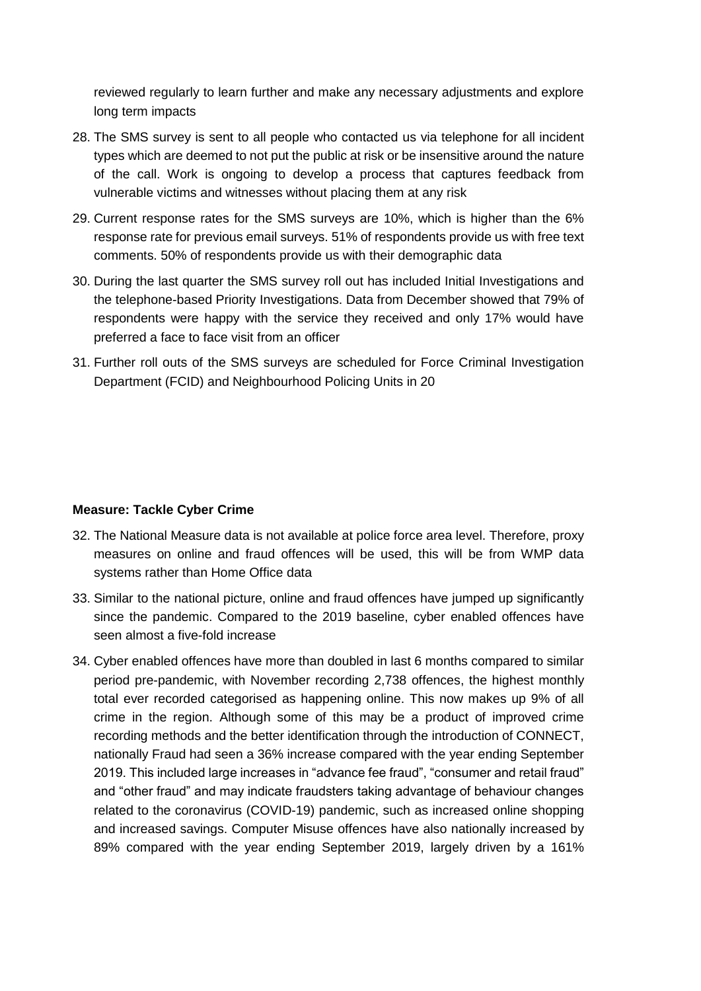reviewed regularly to learn further and make any necessary adjustments and explore long term impacts

- 28. The SMS survey is sent to all people who contacted us via telephone for all incident types which are deemed to not put the public at risk or be insensitive around the nature of the call. Work is ongoing to develop a process that captures feedback from vulnerable victims and witnesses without placing them at any risk
- 29. Current response rates for the SMS surveys are 10%, which is higher than the 6% response rate for previous email surveys. 51% of respondents provide us with free text comments. 50% of respondents provide us with their demographic data
- 30. During the last quarter the SMS survey roll out has included Initial Investigations and the telephone-based Priority Investigations. Data from December showed that 79% of respondents were happy with the service they received and only 17% would have preferred a face to face visit from an officer
- 31. Further roll outs of the SMS surveys are scheduled for Force Criminal Investigation Department (FCID) and Neighbourhood Policing Units in 20

## **Measure: Tackle Cyber Crime**

- 32. The National Measure data is not available at police force area level. Therefore, proxy measures on online and fraud offences will be used, this will be from WMP data systems rather than Home Office data
- 33. Similar to the national picture, online and fraud offences have jumped up significantly since the pandemic. Compared to the 2019 baseline, cyber enabled offences have seen almost a five-fold increase
- 34. Cyber enabled offences have more than doubled in last 6 months compared to similar period pre-pandemic, with November recording 2,738 offences, the highest monthly total ever recorded categorised as happening online. This now makes up 9% of all crime in the region. Although some of this may be a product of improved crime recording methods and the better identification through the introduction of CONNECT, nationally Fraud had seen a 36% increase compared with the year ending September 2019. This included large increases in "advance fee fraud", "consumer and retail fraud" and "other fraud" and may indicate fraudsters taking advantage of behaviour changes related to the coronavirus (COVID-19) pandemic, such as increased online shopping and increased savings. Computer Misuse offences have also nationally increased by 89% compared with the year ending September 2019, largely driven by a 161%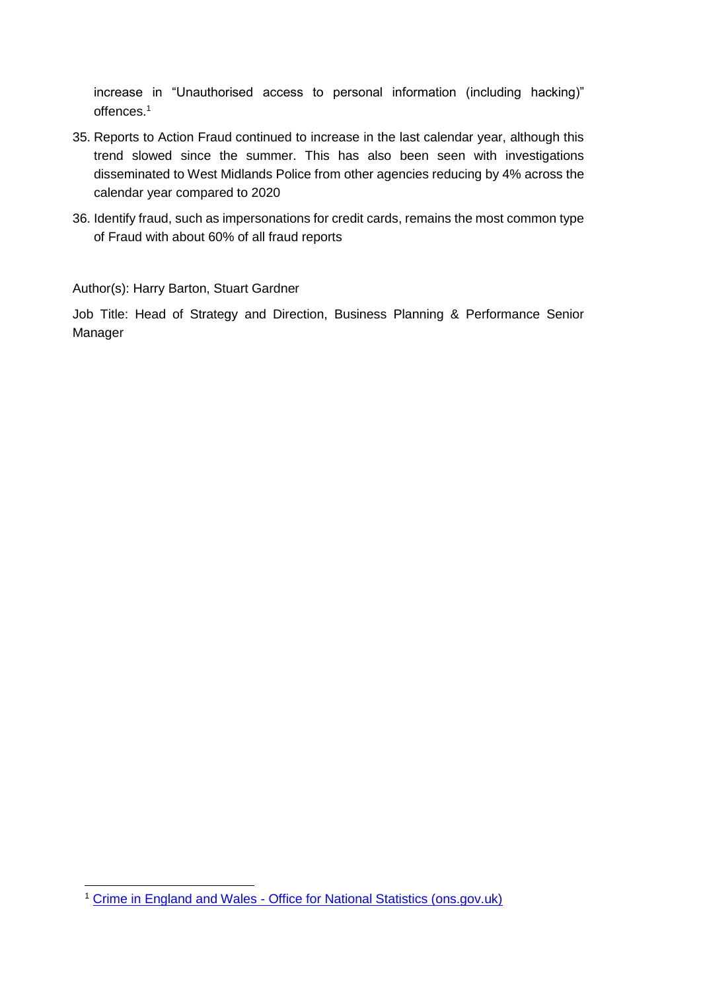increase in "Unauthorised access to personal information (including hacking)" offences. 1

- 35. Reports to Action Fraud continued to increase in the last calendar year, although this trend slowed since the summer. This has also been seen with investigations disseminated to West Midlands Police from other agencies reducing by 4% across the calendar year compared to 2020
- 36. Identify fraud, such as impersonations for credit cards, remains the most common type of Fraud with about 60% of all fraud reports

Author(s): Harry Barton, Stuart Gardner

Job Title: Head of Strategy and Direction, Business Planning & Performance Senior Manager

<sup>-</sup><sup>1</sup> Crime in England and Wales - [Office for National Statistics \(ons.gov.uk\)](https://www.ons.gov.uk/peoplepopulationandcommunity/crimeandjustice/bulletins/crimeinenglandandwales/yearendingseptember2021#fraud)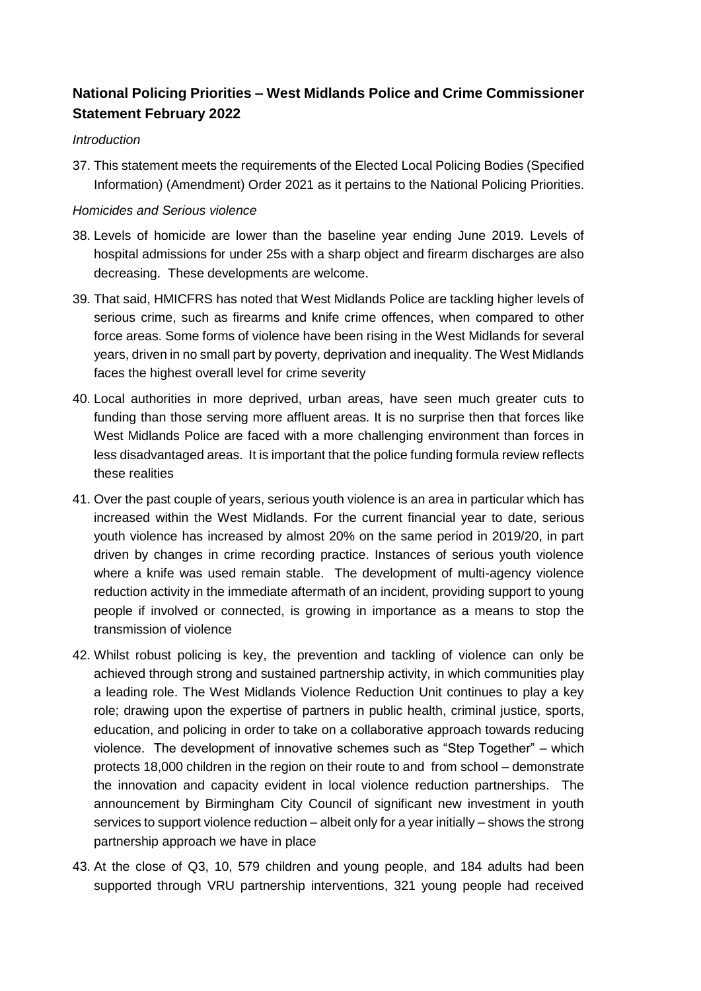## **National Policing Priorities – West Midlands Police and Crime Commissioner Statement February 2022**

#### *Introduction*

37. This statement meets the requirements of the Elected Local Policing Bodies (Specified Information) (Amendment) Order 2021 as it pertains to the National Policing Priorities.

#### *Homicides and Serious violence*

- 38. Levels of homicide are lower than the baseline year ending June 2019. Levels of hospital admissions for under 25s with a sharp object and firearm discharges are also decreasing. These developments are welcome.
- 39. That said, HMICFRS has noted that West Midlands Police are tackling higher levels of serious crime, such as firearms and knife crime offences, when compared to other force areas. Some forms of violence have been rising in the West Midlands for several years, driven in no small part by poverty, deprivation and inequality. The West Midlands faces the highest overall level for crime severity
- 40. Local authorities in more deprived, urban areas, have seen much greater cuts to funding than those serving more affluent areas. It is no surprise then that forces like West Midlands Police are faced with a more challenging environment than forces in less disadvantaged areas. It is important that the police funding formula review reflects these realities
- 41. Over the past couple of years, serious youth violence is an area in particular which has increased within the West Midlands. For the current financial year to date, serious youth violence has increased by almost 20% on the same period in 2019/20, in part driven by changes in crime recording practice. Instances of serious youth violence where a knife was used remain stable. The development of multi-agency violence reduction activity in the immediate aftermath of an incident, providing support to young people if involved or connected, is growing in importance as a means to stop the transmission of violence
- 42. Whilst robust policing is key, the prevention and tackling of violence can only be achieved through strong and sustained partnership activity, in which communities play a leading role. The West Midlands Violence Reduction Unit continues to play a key role; drawing upon the expertise of partners in public health, criminal justice, sports, education, and policing in order to take on a collaborative approach towards reducing violence. The development of innovative schemes such as "Step Together" – which protects 18,000 children in the region on their route to and from school – demonstrate the innovation and capacity evident in local violence reduction partnerships. The announcement by Birmingham City Council of significant new investment in youth services to support violence reduction – albeit only for a year initially – shows the strong partnership approach we have in place
- 43. At the close of Q3, 10, 579 children and young people, and 184 adults had been supported through VRU partnership interventions, 321 young people had received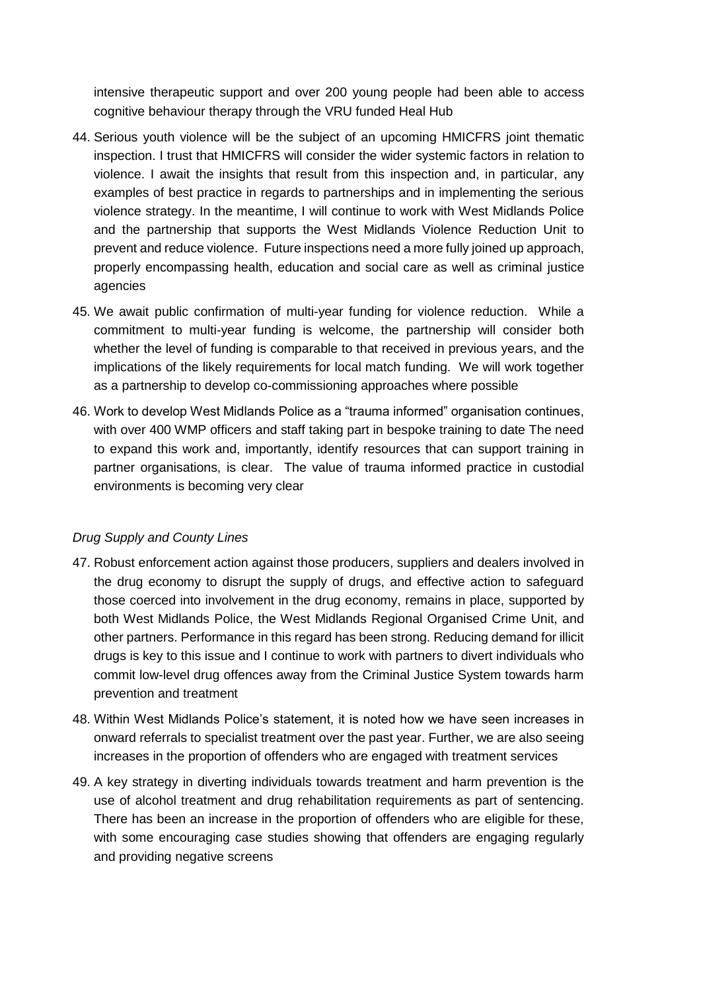intensive therapeutic support and over 200 young people had been able to access cognitive behaviour therapy through the VRU funded Heal Hub

- 44. Serious youth violence will be the subject of an upcoming HMICFRS joint thematic inspection. I trust that HMICFRS will consider the wider systemic factors in relation to violence. I await the insights that result from this inspection and, in particular, any examples of best practice in regards to partnerships and in implementing the serious violence strategy. In the meantime, I will continue to work with West Midlands Police and the partnership that supports the West Midlands Violence Reduction Unit to prevent and reduce violence. Future inspections need a more fully joined up approach, properly encompassing health, education and social care as well as criminal justice agencies
- 45. We await public confirmation of multi-year funding for violence reduction. While a commitment to multi-year funding is welcome, the partnership will consider both whether the level of funding is comparable to that received in previous years, and the implications of the likely requirements for local match funding. We will work together as a partnership to develop co-commissioning approaches where possible
- 46. Work to develop West Midlands Police as a "trauma informed" organisation continues, with over 400 WMP officers and staff taking part in bespoke training to date The need to expand this work and, importantly, identify resources that can support training in partner organisations, is clear. The value of trauma informed practice in custodial environments is becoming very clear

#### *Drug Supply and County Lines*

- 47. Robust enforcement action against those producers, suppliers and dealers involved in the drug economy to disrupt the supply of drugs, and effective action to safeguard those coerced into involvement in the drug economy, remains in place, supported by both West Midlands Police, the West Midlands Regional Organised Crime Unit, and other partners. Performance in this regard has been strong. Reducing demand for illicit drugs is key to this issue and I continue to work with partners to divert individuals who commit low-level drug offences away from the Criminal Justice System towards harm prevention and treatment
- 48. Within West Midlands Police's statement, it is noted how we have seen increases in onward referrals to specialist treatment over the past year. Further, we are also seeing increases in the proportion of offenders who are engaged with treatment services
- 49. A key strategy in diverting individuals towards treatment and harm prevention is the use of alcohol treatment and drug rehabilitation requirements as part of sentencing. There has been an increase in the proportion of offenders who are eligible for these, with some encouraging case studies showing that offenders are engaging regularly and providing negative screens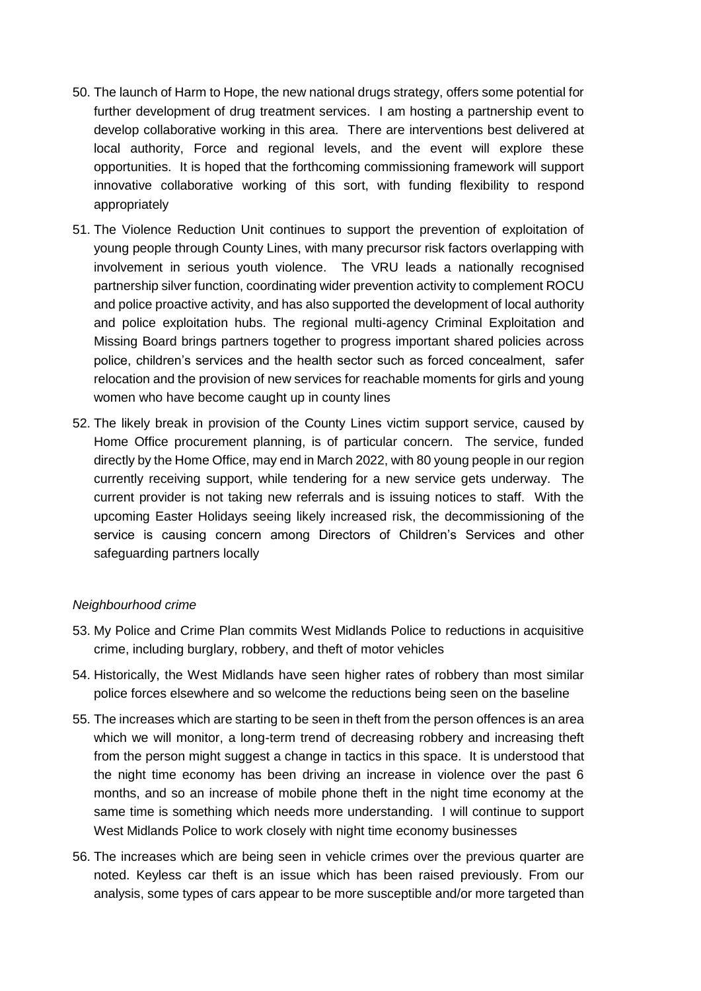- 50. The launch of Harm to Hope, the new national drugs strategy, offers some potential for further development of drug treatment services. I am hosting a partnership event to develop collaborative working in this area. There are interventions best delivered at local authority, Force and regional levels, and the event will explore these opportunities. It is hoped that the forthcoming commissioning framework will support innovative collaborative working of this sort, with funding flexibility to respond appropriately
- 51. The Violence Reduction Unit continues to support the prevention of exploitation of young people through County Lines, with many precursor risk factors overlapping with involvement in serious youth violence. The VRU leads a nationally recognised partnership silver function, coordinating wider prevention activity to complement ROCU and police proactive activity, and has also supported the development of local authority and police exploitation hubs. The regional multi-agency Criminal Exploitation and Missing Board brings partners together to progress important shared policies across police, children's services and the health sector such as forced concealment, safer relocation and the provision of new services for reachable moments for girls and young women who have become caught up in county lines
- 52. The likely break in provision of the County Lines victim support service, caused by Home Office procurement planning, is of particular concern. The service, funded directly by the Home Office, may end in March 2022, with 80 young people in our region currently receiving support, while tendering for a new service gets underway. The current provider is not taking new referrals and is issuing notices to staff. With the upcoming Easter Holidays seeing likely increased risk, the decommissioning of the service is causing concern among Directors of Children's Services and other safeguarding partners locally

#### *Neighbourhood crime*

- 53. My Police and Crime Plan commits West Midlands Police to reductions in acquisitive crime, including burglary, robbery, and theft of motor vehicles
- 54. Historically, the West Midlands have seen higher rates of robbery than most similar police forces elsewhere and so welcome the reductions being seen on the baseline
- 55. The increases which are starting to be seen in theft from the person offences is an area which we will monitor, a long-term trend of decreasing robbery and increasing theft from the person might suggest a change in tactics in this space. It is understood that the night time economy has been driving an increase in violence over the past 6 months, and so an increase of mobile phone theft in the night time economy at the same time is something which needs more understanding. I will continue to support West Midlands Police to work closely with night time economy businesses
- 56. The increases which are being seen in vehicle crimes over the previous quarter are noted. Keyless car theft is an issue which has been raised previously. From our analysis, some types of cars appear to be more susceptible and/or more targeted than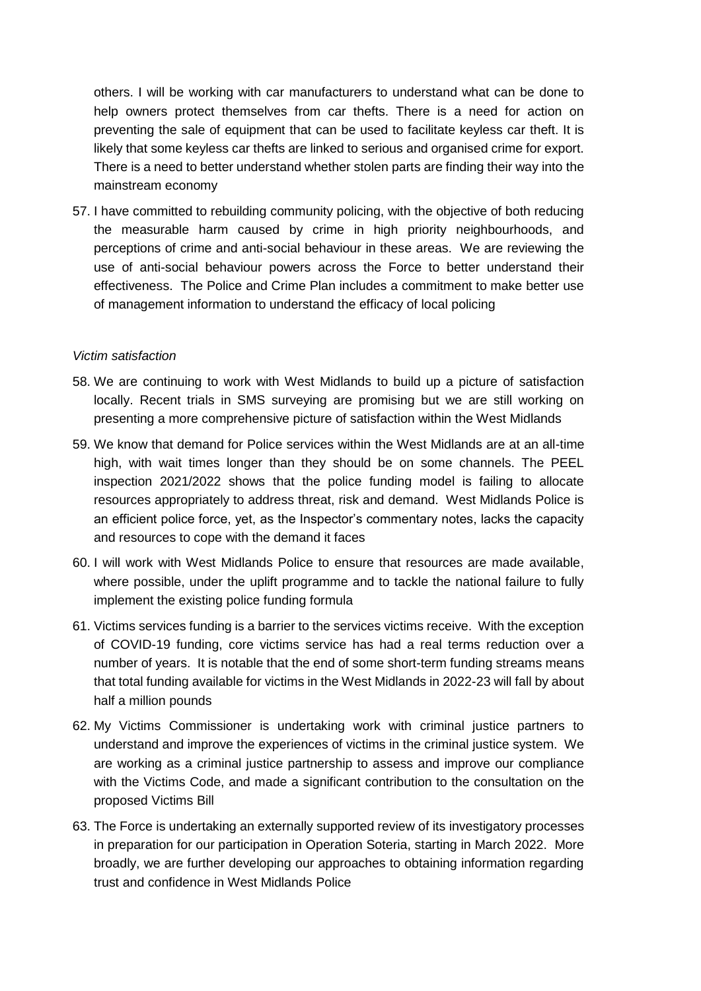others. I will be working with car manufacturers to understand what can be done to help owners protect themselves from car thefts. There is a need for action on preventing the sale of equipment that can be used to facilitate keyless car theft. It is likely that some keyless car thefts are linked to serious and organised crime for export. There is a need to better understand whether stolen parts are finding their way into the mainstream economy

57. I have committed to rebuilding community policing, with the objective of both reducing the measurable harm caused by crime in high priority neighbourhoods, and perceptions of crime and anti-social behaviour in these areas. We are reviewing the use of anti-social behaviour powers across the Force to better understand their effectiveness. The Police and Crime Plan includes a commitment to make better use of management information to understand the efficacy of local policing

#### *Victim satisfaction*

- 58. We are continuing to work with West Midlands to build up a picture of satisfaction locally. Recent trials in SMS surveying are promising but we are still working on presenting a more comprehensive picture of satisfaction within the West Midlands
- 59. We know that demand for Police services within the West Midlands are at an all-time high, with wait times longer than they should be on some channels. The PEEL inspection 2021/2022 shows that the police funding model is failing to allocate resources appropriately to address threat, risk and demand. West Midlands Police is an efficient police force, yet, as the Inspector's commentary notes, lacks the capacity and resources to cope with the demand it faces
- 60. I will work with West Midlands Police to ensure that resources are made available, where possible, under the uplift programme and to tackle the national failure to fully implement the existing police funding formula
- 61. Victims services funding is a barrier to the services victims receive. With the exception of COVID-19 funding, core victims service has had a real terms reduction over a number of years. It is notable that the end of some short-term funding streams means that total funding available for victims in the West Midlands in 2022-23 will fall by about half a million pounds
- 62. My Victims Commissioner is undertaking work with criminal justice partners to understand and improve the experiences of victims in the criminal justice system. We are working as a criminal justice partnership to assess and improve our compliance with the Victims Code, and made a significant contribution to the consultation on the proposed Victims Bill
- 63. The Force is undertaking an externally supported review of its investigatory processes in preparation for our participation in Operation Soteria, starting in March 2022. More broadly, we are further developing our approaches to obtaining information regarding trust and confidence in West Midlands Police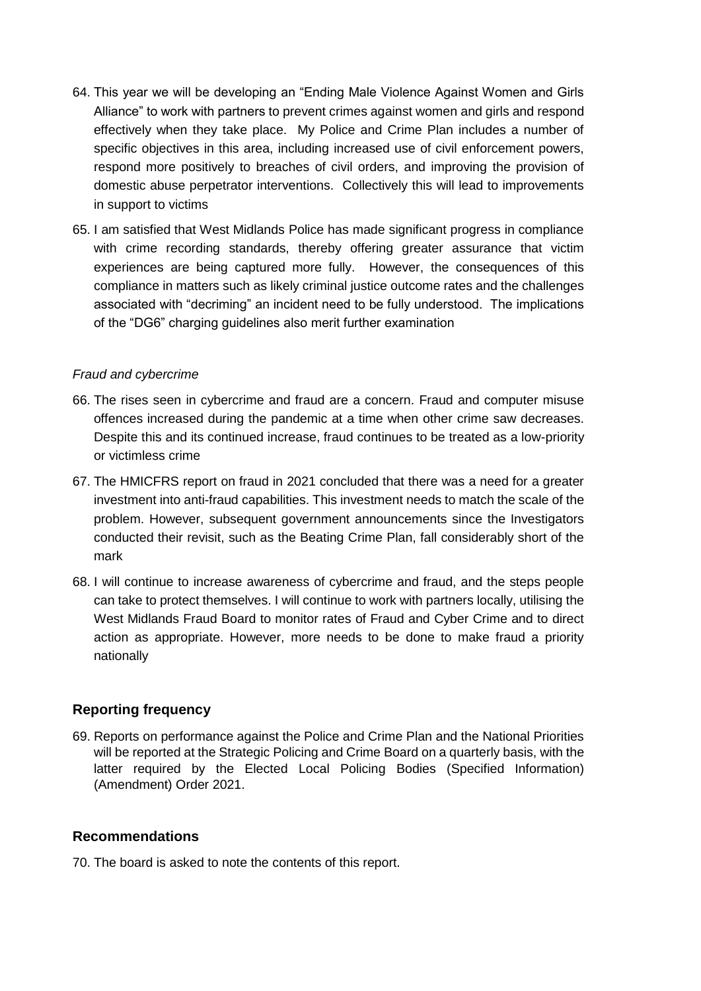- 64. This year we will be developing an "Ending Male Violence Against Women and Girls Alliance" to work with partners to prevent crimes against women and girls and respond effectively when they take place. My Police and Crime Plan includes a number of specific objectives in this area, including increased use of civil enforcement powers, respond more positively to breaches of civil orders, and improving the provision of domestic abuse perpetrator interventions. Collectively this will lead to improvements in support to victims
- 65. I am satisfied that West Midlands Police has made significant progress in compliance with crime recording standards, thereby offering greater assurance that victim experiences are being captured more fully. However, the consequences of this compliance in matters such as likely criminal justice outcome rates and the challenges associated with "decriming" an incident need to be fully understood. The implications of the "DG6" charging guidelines also merit further examination

### *Fraud and cybercrime*

- 66. The rises seen in cybercrime and fraud are a concern. Fraud and computer misuse offences increased during the pandemic at a time when other crime saw decreases. Despite this and its continued increase, fraud continues to be treated as a low-priority or victimless crime
- 67. The HMICFRS report on fraud in 2021 concluded that there was a need for a greater investment into anti-fraud capabilities. This investment needs to match the scale of the problem. However, subsequent government announcements since the Investigators conducted their revisit, such as the Beating Crime Plan, fall considerably short of the mark
- 68. I will continue to increase awareness of cybercrime and fraud, and the steps people can take to protect themselves. I will continue to work with partners locally, utilising the West Midlands Fraud Board to monitor rates of Fraud and Cyber Crime and to direct action as appropriate. However, more needs to be done to make fraud a priority nationally

## **Reporting frequency**

69. Reports on performance against the Police and Crime Plan and the National Priorities will be reported at the Strategic Policing and Crime Board on a quarterly basis, with the latter required by the Elected Local Policing Bodies (Specified Information) (Amendment) Order 2021.

## **Recommendations**

70. The board is asked to note the contents of this report.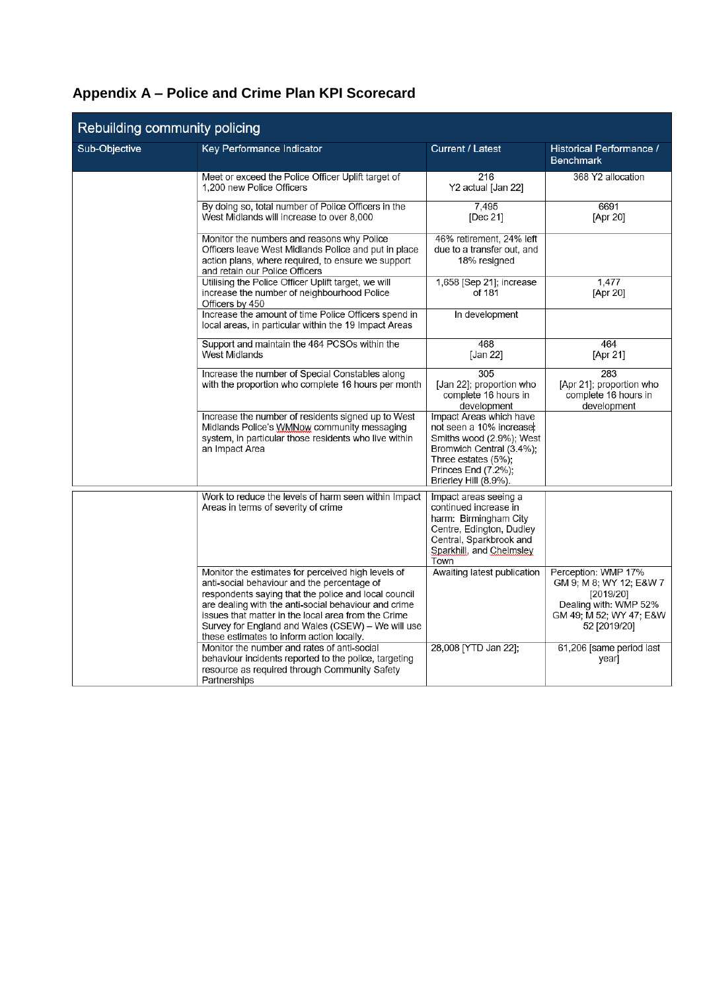| Appendix A - Police and Crime Plan KPI Scorecard |  |  |
|--------------------------------------------------|--|--|
|--------------------------------------------------|--|--|

| Rebuilding community policing |                                                                                                                                                                                                                                                                                                                                                                            |                                                                                                                                                                                    |                                                                                                                                 |
|-------------------------------|----------------------------------------------------------------------------------------------------------------------------------------------------------------------------------------------------------------------------------------------------------------------------------------------------------------------------------------------------------------------------|------------------------------------------------------------------------------------------------------------------------------------------------------------------------------------|---------------------------------------------------------------------------------------------------------------------------------|
| Sub-Objective                 | Key Performance Indicator                                                                                                                                                                                                                                                                                                                                                  | <b>Current / Latest</b>                                                                                                                                                            | Historical Performance /<br><b>Benchmark</b>                                                                                    |
|                               | Meet or exceed the Police Officer Uplift target of<br>1,200 new Police Officers                                                                                                                                                                                                                                                                                            | 216<br>Y2 actual [Jan 22]                                                                                                                                                          | 368 Y2 allocation                                                                                                               |
|                               | By doing so, total number of Police Officers in the<br>West Midlands will increase to over 8,000                                                                                                                                                                                                                                                                           | 7,495<br>[Dec 21]                                                                                                                                                                  | 6691<br>[Apr 20]                                                                                                                |
|                               | Monitor the numbers and reasons why Police<br>Officers leave West Midlands Police and put in place<br>action plans, where required, to ensure we support<br>and retain our Police Officers                                                                                                                                                                                 | 46% retirement, 24% left<br>due to a transfer out, and<br>18% resigned                                                                                                             |                                                                                                                                 |
|                               | Utilising the Police Officer Uplift target, we will<br>increase the number of neighbourhood Police<br>Officers by 450                                                                                                                                                                                                                                                      | 1,658 [Sep 21]; increase<br>of 181                                                                                                                                                 | 1.477<br>[Apr 20]                                                                                                               |
|                               | Increase the amount of time Police Officers spend in<br>local areas, in particular within the 19 Impact Areas                                                                                                                                                                                                                                                              | In development                                                                                                                                                                     |                                                                                                                                 |
|                               | Support and maintain the 464 PCSOs within the<br><b>West Midlands</b>                                                                                                                                                                                                                                                                                                      | 468<br>[Jan 22]                                                                                                                                                                    | 464<br>[Apr 21]                                                                                                                 |
|                               | Increase the number of Special Constables along<br>with the proportion who complete 16 hours per month                                                                                                                                                                                                                                                                     | 305<br>[Jan 22]; proportion who<br>complete 16 hours in<br>development                                                                                                             | 283<br>[Apr 21]; proportion who<br>complete 16 hours in<br>development                                                          |
|                               | Increase the number of residents signed up to West<br>Midlands Police's WMNow community messaging<br>system, in particular those residents who live within<br>an Impact Area                                                                                                                                                                                               | Impact Areas which have<br>not seen a 10% increase:<br>Smiths wood (2.9%); West<br>Bromwich Central (3.4%);<br>Three estates (5%);<br>Princes End (7.2%);<br>Brierley Hill (8.9%). |                                                                                                                                 |
|                               | Work to reduce the levels of harm seen within Impact<br>Areas in terms of severity of crime                                                                                                                                                                                                                                                                                | Impact areas seeing a<br>continued increase in<br>harm: Birmingham City<br>Centre, Edington, Dudley<br>Central, Sparkbrook and<br>Sparkhill, and Chelmsley<br>Town                 |                                                                                                                                 |
|                               | Monitor the estimates for perceived high levels of<br>anti-social behaviour and the percentage of<br>respondents saying that the police and local council<br>are dealing with the anti-social behaviour and crime<br>issues that matter in the local area from the Crime<br>Survey for England and Wales (CSEW) - We will use<br>these estimates to inform action locally. | Awaiting latest publication                                                                                                                                                        | Perception: WMP 17%<br>GM 9; M 8; WY 12; E&W 7<br>[2019/20]<br>Dealing with: WMP 52%<br>GM 49; M 52; WY 47; E&W<br>52 [2019/20] |
|                               | Monitor the number and rates of anti-social<br>behaviour incidents reported to the police, targeting<br>resource as required through Community Safety<br>Partnerships                                                                                                                                                                                                      | 28,008 [YTD Jan 22];                                                                                                                                                               | 61,206 [same period last<br>year]                                                                                               |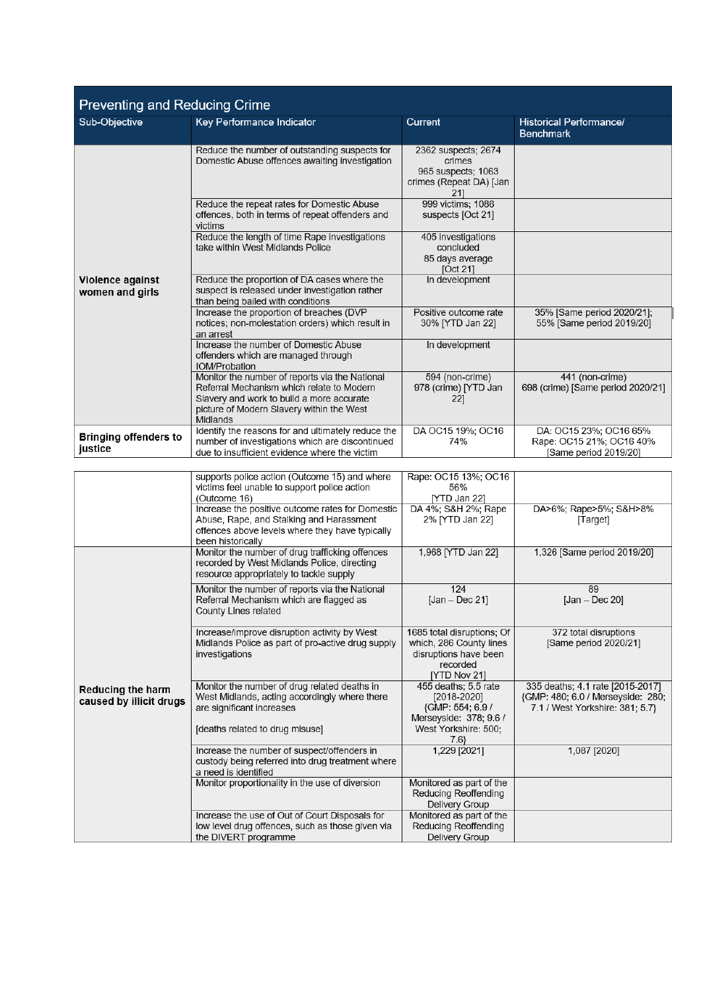| <b>Preventing and Reducing Crime</b>                |                                                                                                                                                                                                   |                                                                                                            |                                                                                                          |
|-----------------------------------------------------|---------------------------------------------------------------------------------------------------------------------------------------------------------------------------------------------------|------------------------------------------------------------------------------------------------------------|----------------------------------------------------------------------------------------------------------|
| Sub-Objective                                       | Key Performance Indicator                                                                                                                                                                         | Current                                                                                                    | <b>Historical Performance/</b><br><b>Benchmark</b>                                                       |
|                                                     | Reduce the number of outstanding suspects for<br>Domestic Abuse offences awaiting investigation                                                                                                   | 2362 suspects; 2674<br>crimes<br>965 suspects; 1063<br>crimes (Repeat DA) [Jan<br>21]                      |                                                                                                          |
|                                                     | Reduce the repeat rates for Domestic Abuse<br>offences, both in terms of repeat offenders and<br>victims                                                                                          | 999 victims; 1086<br>suspects [Oct 21]                                                                     |                                                                                                          |
|                                                     | Reduce the length of time Rape investigations<br>take within West Midlands Police                                                                                                                 | 405 investigations<br>concluded<br>85 days average<br>[Oct $21$ ]                                          |                                                                                                          |
| Violence against<br>women and girls                 | Reduce the proportion of DA cases where the<br>suspect is released under investigation rather<br>than being bailed with conditions                                                                | In development                                                                                             |                                                                                                          |
|                                                     | Increase the proportion of breaches (DVP<br>notices; non-molestation orders) which result in<br>an arrest                                                                                         | Positive outcome rate<br>30% [YTD Jan 22]                                                                  | 35% [Same period 2020/21];<br>55% [Same period 2019/20]                                                  |
|                                                     | Increase the number of Domestic Abuse<br>offenders which are managed through<br>IOM/Probation                                                                                                     | In development                                                                                             |                                                                                                          |
|                                                     | Monitor the number of reports via the National<br>Referral Mechanism which relate to Modern<br>Slavery and work to build a more accurate<br>picture of Modern Slavery within the West<br>Midlands | 594 (non-crime)<br>978 (crime) [YTD Jan<br>22]                                                             | 441 (non-crime)<br>698 (crime) [Same period 2020/21]                                                     |
| <b>Bringing offenders to</b><br>justice             | Identify the reasons for and ultimately reduce the<br>number of investigations which are discontinued<br>due to insufficient evidence where the victim                                            | DA OC15 19%; OC16<br>74%                                                                                   | DA: OC15 23%: OC16 65%<br>Rape: OC15 21%; OC16 40%<br>[Same period 2019/20]                              |
|                                                     |                                                                                                                                                                                                   |                                                                                                            |                                                                                                          |
|                                                     | supports police action (Outcome 15) and where<br>victims feel unable to support police action<br>(Outcome 16)                                                                                     | Rape: OC15 13%; OC16<br>56%<br>[YTD Jan 22]                                                                |                                                                                                          |
|                                                     | Increase the positive outcome rates for Domestic<br>Abuse, Rape, and Stalking and Harassment<br>offences above levels where they have typically<br>been historically                              | DA 4%; S&H 2%; Rape<br>2% [YTD Jan 22]                                                                     | DA>6%; Rape>5%; S&H>8%<br>[Target]                                                                       |
|                                                     | Monitor the number of drug trafficking offences<br>recorded by West Midlands Police, directing<br>resource appropriately to tackle supply                                                         | 1,968 [YTD Jan 22]                                                                                         | 1,326 [Same period 2019/20]                                                                              |
|                                                     | Monitor the number of reports via the National<br>Referral Mechanism which are flagged as<br>County Lines related                                                                                 | 124<br>$[Jan - Dec 21]$                                                                                    | 89<br>$[Jan - Dec 20]$                                                                                   |
|                                                     | Increase/improve disruption activity by West<br>Midlands Police as part of pro-active drug supply<br>investigations                                                                               | 1685 total disruptions; Of<br>which, 286 County lines<br>disruptions have been<br>recorded<br>[YTD Nov 21] | 372 total disruptions<br>[Same period 2020/21]                                                           |
| <b>Reducing the harm</b><br>caused by illicit drugs | Monitor the number of drug related deaths in<br>West Midlands, acting accordingly where there<br>are significant increases                                                                        | 455 deaths; 5.5 rate<br>$[2018 - 2020]$<br>{GMP: 554; 6.9 /<br>Merseyside: 378; 9.6 /                      | 335 deaths; 4.1 rate [2015-2017]<br>{GMP: 480; 6.0 / Merseyside: 280;<br>7.1 / West Yorkshire: 381; 5.7} |
|                                                     | [deaths related to drug misuse]                                                                                                                                                                   | West Yorkshire: 500;<br>7.6                                                                                |                                                                                                          |
|                                                     | Increase the number of suspect/offenders in<br>custody being referred into drug treatment where<br>a need is identified                                                                           | 1,229 [2021]                                                                                               | 1,087 [2020]                                                                                             |
|                                                     | Monitor proportionality in the use of diversion                                                                                                                                                   | Monitored as part of the<br><b>Reducing Reoffending</b><br>Delivery Group                                  |                                                                                                          |
|                                                     | Increase the use of Out of Court Disposals for<br>low level drug offences, such as those given via<br>the DIVERT programme                                                                        | Monitored as part of the<br>Reducing Reoffending<br><b>Delivery Group</b>                                  |                                                                                                          |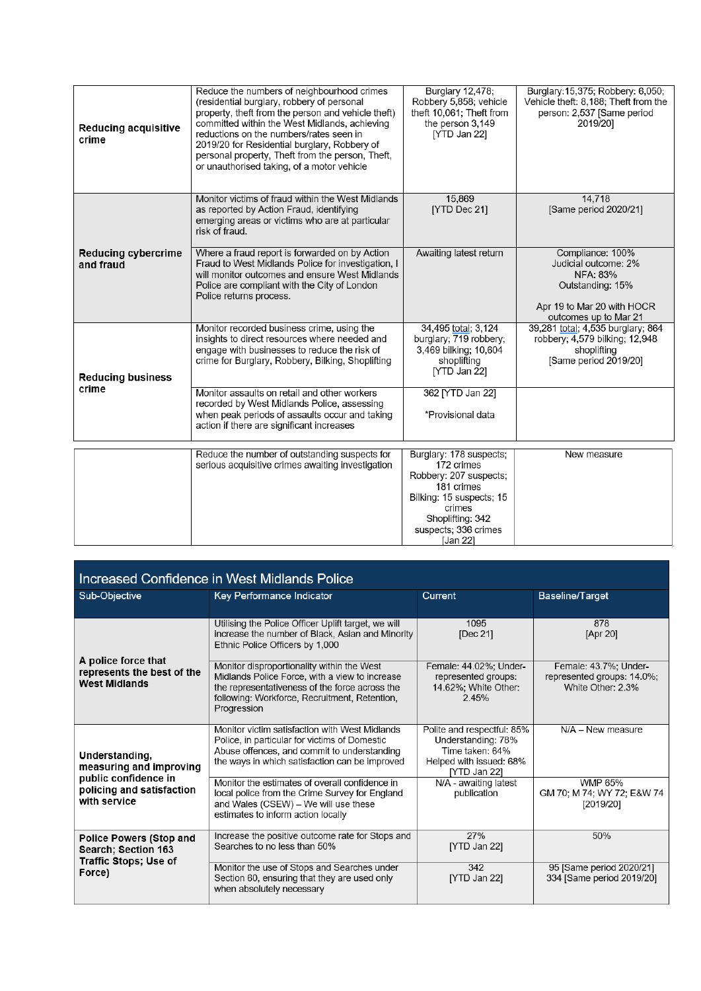| <b>Reducing acquisitive</b><br>crime    | Reduce the numbers of neighbourhood crimes<br>(residential burglary, robbery of personal<br>property, theft from the person and vehicle theft)<br>committed within the West Midlands, achieving<br>reductions on the numbers/rates seen in<br>2019/20 for Residential burglary, Robbery of<br>personal property, Theft from the person, Theft,<br>or unauthorised taking, of a motor vehicle | Burglary 12,478;<br>Robbery 5,858; vehicle<br>theft 10,061; Theft from<br>the person 3,149<br>[YTD Jan 22]                                                                  | Burglary: 15,375; Robbery: 6,050;<br>Vehicle theft: 8,188; Theft from the<br>person: 2,537 [Same period<br>2019/201                    |
|-----------------------------------------|----------------------------------------------------------------------------------------------------------------------------------------------------------------------------------------------------------------------------------------------------------------------------------------------------------------------------------------------------------------------------------------------|-----------------------------------------------------------------------------------------------------------------------------------------------------------------------------|----------------------------------------------------------------------------------------------------------------------------------------|
|                                         | Monitor victims of fraud within the West Midlands<br>as reported by Action Fraud, identifying<br>emerging areas or victims who are at particular<br>risk of fraud.                                                                                                                                                                                                                           | 15,869<br>[YTD Dec 21]                                                                                                                                                      | 14,718<br>[Same period 2020/21]                                                                                                        |
| <b>Reducing cybercrime</b><br>and fraud | Where a fraud report is forwarded on by Action<br>Fraud to West Midlands Police for investigation, I<br>will monitor outcomes and ensure West Midlands<br>Police are compliant with the City of London<br>Police returns process.                                                                                                                                                            | Awaiting latest return                                                                                                                                                      | Compliance: 100%<br>Judicial outcome: 2%<br><b>NFA: 83%</b><br>Outstanding: 15%<br>Apr 19 to Mar 20 with HOCR<br>outcomes up to Mar 21 |
| <b>Reducing business</b>                | Monitor recorded business crime, using the<br>insights to direct resources where needed and<br>engage with businesses to reduce the risk of<br>crime for Burglary, Robbery, Bilking, Shoplifting                                                                                                                                                                                             | 34,495 total; 3,124<br>burglary; 719 robbery;<br>3,469 bilking; 10,604<br>shoplifting<br>[YTD Jan 22]                                                                       | 39,281 total; 4,535 burglary; 864<br>robbery; 4,579 bilking; 12,948<br>shoplifting<br>[Same period 2019/20]                            |
| crime                                   | Monitor assaults on retail and other workers<br>recorded by West Midlands Police, assessing<br>when peak periods of assaults occur and taking<br>action if there are significant increases                                                                                                                                                                                                   | 362 [YTD Jan 22]<br>*Provisional data                                                                                                                                       |                                                                                                                                        |
|                                         | Reduce the number of outstanding suspects for<br>serious acquisitive crimes awaiting investigation                                                                                                                                                                                                                                                                                           | Burglary: 178 suspects;<br>172 crimes<br>Robbery: 207 suspects;<br>181 crimes<br>Bilking: 15 suspects; 15<br>crimes<br>Shoplifting: 342<br>suspects; 336 crimes<br>[Jan 22] | New measure                                                                                                                            |

| Increased Confidence in West Midlands Police                                   |                                                                                                                                                                                                                |                                                                                                                |                                                                          |  |
|--------------------------------------------------------------------------------|----------------------------------------------------------------------------------------------------------------------------------------------------------------------------------------------------------------|----------------------------------------------------------------------------------------------------------------|--------------------------------------------------------------------------|--|
| Sub-Objective                                                                  | Key Performance Indicator                                                                                                                                                                                      | Current                                                                                                        | <b>Baseline/Target</b>                                                   |  |
| A police force that                                                            | Utilising the Police Officer Uplift target, we will<br>increase the number of Black, Asian and Minority<br>Ethnic Police Officers by 1,000                                                                     | 1095<br>[Dec 21]                                                                                               | 878<br>[Apr 20]                                                          |  |
| represents the best of the<br><b>West Midlands</b>                             | Monitor disproportionality within the West<br>Midlands Police Force, with a view to increase<br>the representativeness of the force across the<br>following: Workforce, Recruitment, Retention,<br>Progression | Female: 44.02%; Under-<br>represented groups:<br>14.62%; White Other:<br>2.45%                                 | Female: 43.7%; Under-<br>represented groups: 14.0%;<br>White Other: 2.3% |  |
| Understanding,<br>measuring and improving                                      | Monitor victim satisfaction with West Midlands<br>Police, in particular for victims of Domestic<br>Abuse offences, and commit to understanding<br>the ways in which satisfaction can be improved               | Polite and respectful: 85%<br>Understanding: 78%<br>Time taken: 64%<br>Helped with issued: 68%<br>IYTD Jan 221 | $N/A - New measure$                                                      |  |
| public confidence in<br>policing and satisfaction<br>with service              | Monitor the estimates of overall confidence in<br>local police from the Crime Survey for England<br>and Wales (CSEW) - We will use these<br>estimates to inform action locally                                 | N/A - awaiting latest<br>publication                                                                           | <b>WMP 65%</b><br>GM 70; M 74; WY 72; E&W 74<br>[2019/20]                |  |
| <b>Police Powers (Stop and</b><br>Search; Section 163<br>Traffic Stops; Use of | Increase the positive outcome rate for Stops and<br>Searches to no less than 50%                                                                                                                               | 27%<br>[YTD Jan 22]                                                                                            | 50%                                                                      |  |
| Force)                                                                         | Monitor the use of Stops and Searches under<br>Section 60, ensuring that they are used only<br>when absolutely necessary                                                                                       | 342<br>[YTD Jan 22]                                                                                            | 95 [Same period 2020/21]<br>334 [Same period 2019/20]                    |  |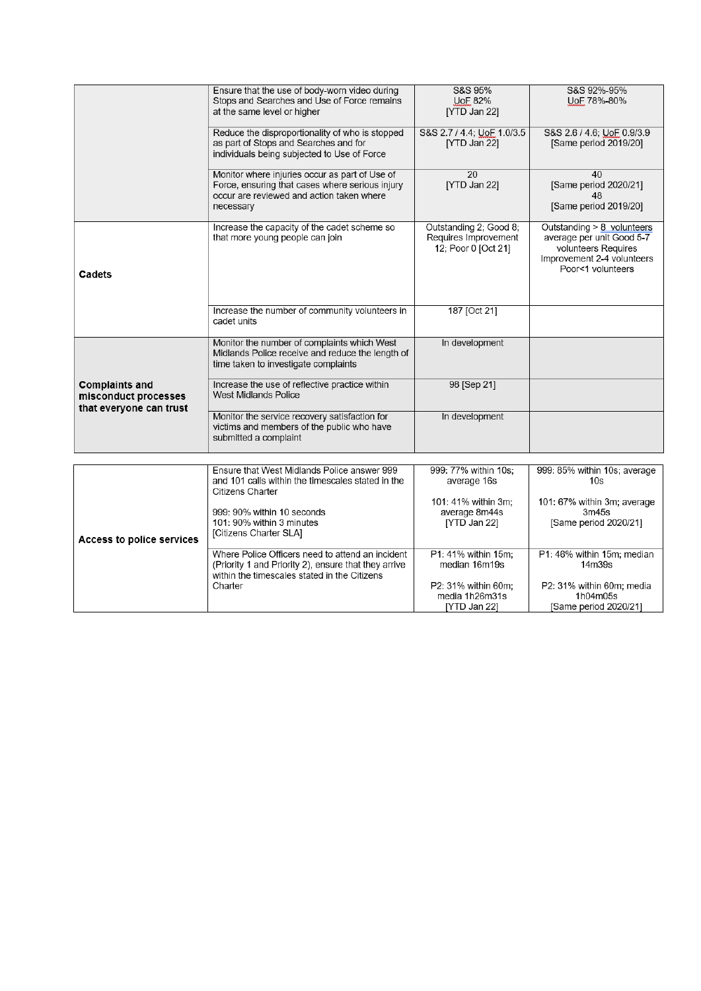|                                                                          | Ensure that the use of body-worn video during<br>Stops and Searches and Use of Force remains<br>at the same level or higher                                 | S&S 95%<br><b>UoF 82%</b><br>[YTD Jan 22]                             | S&S 92%-95%<br>UoF 78%-80%                                                                                                          |
|--------------------------------------------------------------------------|-------------------------------------------------------------------------------------------------------------------------------------------------------------|-----------------------------------------------------------------------|-------------------------------------------------------------------------------------------------------------------------------------|
|                                                                          | Reduce the disproportionality of who is stopped<br>as part of Stops and Searches and for<br>individuals being subjected to Use of Force                     | S&S 2.7 / 4.4; UoF 1.0/3.5<br>[YTD Jan 22]                            | S&S 2.6 / 4.6; UoF 0.9/3.9<br>[Same period 2019/20]                                                                                 |
|                                                                          | Monitor where injuries occur as part of Use of<br>Force, ensuring that cases where serious injury<br>occur are reviewed and action taken where<br>necessary | $\overline{20}$<br>[YTD Jan 22]                                       | 40<br>[Same period 2020/21]<br>48<br>[Same period 2019/20]                                                                          |
| Cadets                                                                   | Increase the capacity of the cadet scheme so<br>that more young people can join                                                                             | Outstanding 2; Good 8;<br>Requires Improvement<br>12; Poor 0 [Oct 21] | Outstanding $> 8$ volunteers<br>average per unit Good 5-7<br>volunteers Requires<br>Improvement 2-4 volunteers<br>Poor<1 volunteers |
|                                                                          | Increase the number of community volunteers in<br>cadet units                                                                                               | 187 [Oct 21]                                                          |                                                                                                                                     |
|                                                                          | Monitor the number of complaints which West<br>Midlands Police receive and reduce the length of<br>time taken to investigate complaints                     | In development                                                        |                                                                                                                                     |
| <b>Complaints and</b><br>misconduct processes<br>that everyone can trust | Increase the use of reflective practice within<br><b>West Midlands Police</b>                                                                               | 98 [Sep 21]                                                           |                                                                                                                                     |
|                                                                          | Monitor the service recovery satisfaction for<br>victims and members of the public who have<br>submitted a complaint                                        | In development                                                        |                                                                                                                                     |
|                                                                          |                                                                                                                                                             |                                                                       |                                                                                                                                     |
|                                                                          | Ensure that West Midlands Police answer 999<br>and 101 calls within the timescales stated in the<br>Citizens Charter                                        | 999: 77% within 10s;<br>average 16s                                   | 999: 85% within 10s; average<br>10 <sub>s</sub>                                                                                     |
| Access to police services                                                | 999: 90% within 10 seconds<br>101: 90% within 3 minutes<br>[Citizens Charter SLA]                                                                           | 101: 41% within 3m;<br>average 8m44s<br>[YTD Jan 22]                  | 101: 67% within 3m; average<br>3m45s<br>[Same period 2020/21]                                                                       |
|                                                                          | Where Police Officers need to attend an incident<br>(Priority 1 and Priority 2), ensure that they arrive<br>within the timescales stated in the Citizens    | P1: 41% within 15m;<br>median 16m19s                                  | P1: 46% within 15m; median<br>14m39s                                                                                                |
|                                                                          | Charter                                                                                                                                                     | P2: 31% within 60m;<br>media 1h26m31s<br>[YTD Jan 22]                 | P2: 31% within 60m; media<br>1h04m05s<br>[Same period 2020/21]                                                                      |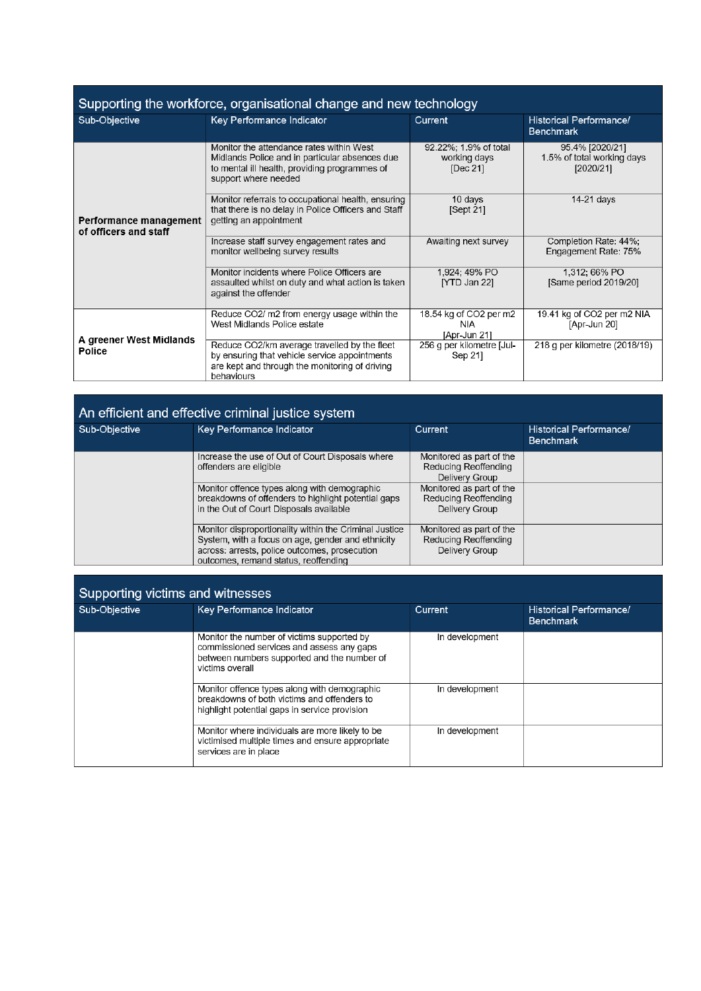# Supporting the workforce, organisational change and new technology

| Sub-Objective                                   | Key Performance Indicator                                                                                                                                           | Current                                              | <b>Historical Performance/</b><br><b>Benchmark</b>         |
|-------------------------------------------------|---------------------------------------------------------------------------------------------------------------------------------------------------------------------|------------------------------------------------------|------------------------------------------------------------|
|                                                 | Monitor the attendance rates within West<br>Midlands Police and in particular absences due<br>to mental ill health, providing programmes of<br>support where needed | 92.22%; 1.9% of total<br>working days<br>[Dec $21$ ] | 95.4% [2020/21]<br>1.5% of total working days<br>[2020/21] |
| Performance management<br>of officers and staff | Monitor referrals to occupational health, ensuring<br>that there is no delay in Police Officers and Staff<br>getting an appointment                                 | 10 days<br>[Sept 21]                                 | $14-21$ days                                               |
|                                                 | Increase staff survey engagement rates and<br>monitor wellbeing survey results                                                                                      | Awaiting next survey                                 | Completion Rate: 44%;<br>Engagement Rate: 75%              |
|                                                 | Monitor incidents where Police Officers are<br>assaulted whilst on duty and what action is taken<br>against the offender                                            | 1,924; 49% PO<br>[YTD Jan 22]                        | 1,312; 66% PO<br>[Same period 2019/20]                     |
|                                                 | Reduce CO2/ m2 from energy usage within the<br>West Midlands Police estate                                                                                          | 18.54 kg of CO2 per m2<br><b>NIA</b><br>[Apr-Jun 21] | 19.41 kg of CO2 per m2 NIA<br>[Apr-Jun 20]                 |
| A greener West Midlands<br>Police               | Reduce CO2/km average travelled by the fleet<br>by ensuring that vehicle service appointments<br>are kept and through the monitoring of driving<br>behaviours       | 256 g per kilometre [Jul-<br>Sep 21]                 | 218 g per kilometre (2018/19)                              |

# An efficient and effective criminal justice system

| Sub-Objective | Key Performance Indicator                                                                                                                                                                            | Current                                                            | <b>Historical Performance/</b><br><b>Benchmark</b> |
|---------------|------------------------------------------------------------------------------------------------------------------------------------------------------------------------------------------------------|--------------------------------------------------------------------|----------------------------------------------------|
|               | Increase the use of Out of Court Disposals where<br>offenders are eligible                                                                                                                           | Monitored as part of the<br>Reducing Reoffending<br>Delivery Group |                                                    |
|               | Monitor offence types along with demographic<br>breakdowns of offenders to highlight potential gaps<br>in the Out of Court Disposals available                                                       | Monitored as part of the<br>Reducing Reoffending<br>Delivery Group |                                                    |
|               | Monitor disproportionality within the Criminal Justice<br>System, with a focus on age, gender and ethnicity<br>across: arrests, police outcomes, prosecution<br>outcomes, remand status, reoffending | Monitored as part of the<br>Reducing Reoffending<br>Delivery Group |                                                    |

# Supporting victims and witnesses

| Sub-Objective | Key Performance Indicator                                                                                                                                 | Current        | <b>Historical Performance/</b><br><b>Benchmark</b> |
|---------------|-----------------------------------------------------------------------------------------------------------------------------------------------------------|----------------|----------------------------------------------------|
|               | Monitor the number of victims supported by<br>commissioned services and assess any gaps<br>between numbers supported and the number of<br>victims overall | In development |                                                    |
|               | Monitor offence types along with demographic<br>breakdowns of both victims and offenders to<br>highlight potential gaps in service provision              | In development |                                                    |
|               | Monitor where individuals are more likely to be<br>victimised multiple times and ensure appropriate<br>services are in place                              | In development |                                                    |